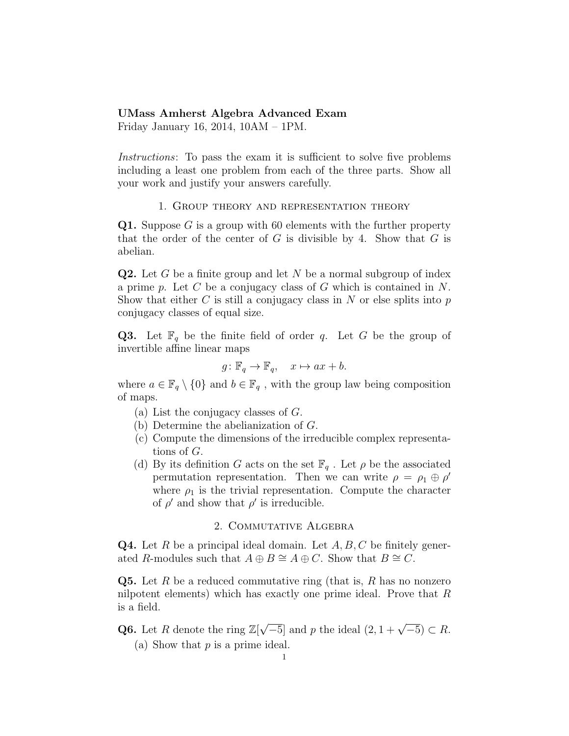## UMass Amherst Algebra Advanced Exam

Friday January 16, 2014, 10AM – 1PM.

Instructions: To pass the exam it is sufficient to solve five problems including a least one problem from each of the three parts. Show all your work and justify your answers carefully.

## 1. Group theory and representation theory

**Q1.** Suppose G is a group with 60 elements with the further property that the order of the center of  $G$  is divisible by 4. Show that  $G$  is abelian.

**Q2.** Let G be a finite group and let N be a normal subgroup of index a prime p. Let C be a conjugacy class of G which is contained in  $N$ . Show that either C is still a conjugacy class in N or else splits into  $p$ conjugacy classes of equal size.

**Q3.** Let  $\mathbb{F}_q$  be the finite field of order q. Let G be the group of invertible affine linear maps

$$
g: \mathbb{F}_q \to \mathbb{F}_q
$$
,  $x \mapsto ax + b$ .

where  $a \in \mathbb{F}_q \setminus \{0\}$  and  $b \in \mathbb{F}_q$ , with the group law being composition of maps.

- (a) List the conjugacy classes of G.
- (b) Determine the abelianization of G.
- (c) Compute the dimensions of the irreducible complex representations of G.
- (d) By its definition G acts on the set  $\mathbb{F}_q$ . Let  $\rho$  be the associated permutation representation. Then we can write  $\rho = \rho_1 \oplus \rho'$ where  $\rho_1$  is the trivial representation. Compute the character of  $\rho'$  and show that  $\rho'$  is irreducible.

## 2. Commutative Algebra

**Q4.** Let R be a principal ideal domain. Let  $A, B, C$  be finitely generated R-modules such that  $A \oplus B \cong A \oplus C$ . Show that  $B \cong C$ .

**Q5.** Let R be a reduced commutative ring (that is, R has no nonzero nilpotent elements) which has exactly one prime ideal. Prove that R is a field.

**Q6.** Let R denote the ring  $\mathbb{Z}[\sqrt{-5}]$  and p the ideal  $(2, 1 + \sqrt{-5}) \subset R$ . (a) Show that  $p$  is a prime ideal.